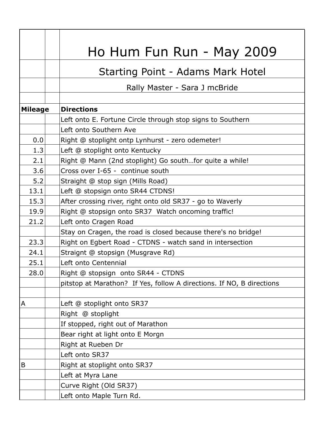| Ho Hum Fun Run - May 2009                                             |
|-----------------------------------------------------------------------|
| <b>Starting Point - Adams Mark Hotel</b>                              |
|                                                                       |
|                                                                       |
|                                                                       |
|                                                                       |
|                                                                       |
|                                                                       |
|                                                                       |
|                                                                       |
|                                                                       |
|                                                                       |
|                                                                       |
|                                                                       |
|                                                                       |
|                                                                       |
|                                                                       |
|                                                                       |
|                                                                       |
|                                                                       |
|                                                                       |
| pitstop at Marathon? If Yes, follow A directions. If NO, B directions |
|                                                                       |
|                                                                       |
|                                                                       |
|                                                                       |
|                                                                       |
|                                                                       |
|                                                                       |
|                                                                       |
|                                                                       |
|                                                                       |
|                                                                       |